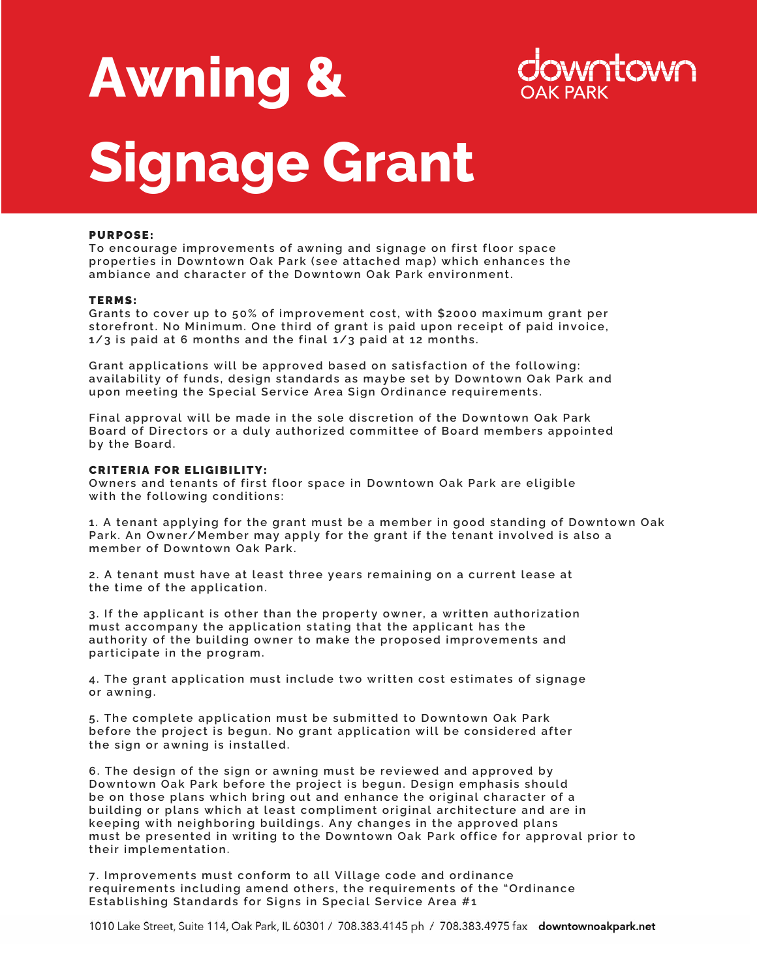# **Awning & Signage Grant**



## PURPOSE:

To encourage improvements of awning and signage on first floor space properties in Downtown Oak Park (see attached map) which enhances the ambiance and character of the Downtown Oak Park environment.

#### TERMS:

Grants to cover up to 50% of improvement cost, with \$2000 maximum grant per storefront. No Minimum. One third of grant is paid upon receipt of paid invoice, **1/3** is paid at 6 months and the final 1/3 paid at 12 months.

Grant applications will be approved based on satisfaction of the following: availability of funds, design standards as maybe set by Downtown Oak Park and upon meeting the Special Service Area Sign Ordinance requirements.

Final approval will be made in the sole discretion of the Downtown Oak Park Board of Directors or a duly authorized committee of Board members appointed by the Board.

## **CRITERIA FOR ELIGIBILITY:**

**Owners and tenants of first floor space in Downtown Oak Park are eligible** with the following conditions:

1. A tenant applying for the grant must be a member in good standing of Downtown Oak Park. An Owner/Member may apply for the grant if the tenant involved is also a member of Downtown Oak Park.

2. A tenant must have at least three years remaining on a current lease at the time of the application.

**3. If t he appl icant is ot he r t han t he prope rt y owner, a w rit t e n aut ho rizat ion**  must accompany the application stating that the applicant has the authority of the building owner to make the proposed improvements and participate in the program.

4. The grant application must include two written cost estimates of signage **or a wning .** 

**5. The com pl e t e ap pl ic at ion m ust be subm it t e d t o Downt own Oak P ark**  before the project is begun. No grant application will be considered after the sign or awning is installed.

**6. The design of the sign or awning must be reviewed and approved by** Downtown Oak Park before the project is begun. Design emphasis should be on those plans which bring out and enhance the original character of a building or plans which at least compliment original architecture and are in keeping with neighboring buildings. Any changes in the approved plans must be presented in writing to the Downtown Oak Park office for approval prior to **t he ir im pl e m e nt at ion.** 

**7. Improvements must conform to all Village code and ordinance** requirements including amend others, the requirements of the "Ordinance **Establishing Standards for Signs in Special Service Area #1** 

1010 Lake Street, Suite 114, Oak Park, IL 60301 / 708.383.4145 ph / 708.383.4975 fax downtownoakpark.net